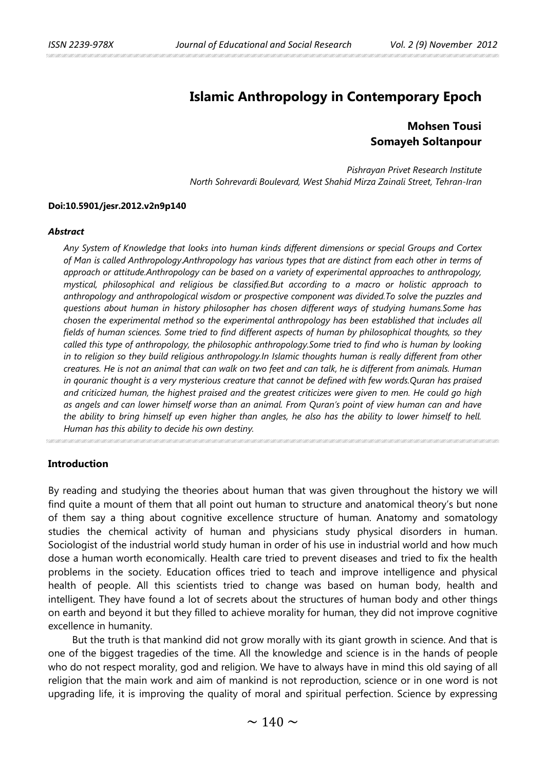# **Islamic Anthropology in Contemporary Epoch**

# **Mohsen Tousi Somayeh Soltanpour**

 *Pishrayan Privet Research Institute North Sohrevardi Boulevard, West Shahid Mirza Zainali Street, Tehran-Iran*

### **Doi:10.5901/jesr.2012.v2n9p140**

#### *Abstract*

*Any System of Knowledge that looks into human kinds different dimensions or special Groups and Cortex of Man is called Anthropology*.*Anthropology has various types that are distinct from each other in terms of approach or attitude.Anthropology can be based on a variety of experimental approaches to anthropology, mystical, philosophical and religious be classified.But according to a macro or holistic approach to anthropology and anthropological wisdom or prospective component was divided.To solve the puzzles and questions about human in history philosopher has chosen different ways of studying humans.Some has chosen the experimental method so the experimental anthropology has been established that includes all fields of human sciences. Some tried to find different aspects of human by philosophical thoughts, so they called this type of anthropology, the philosophic anthropology.Some tried to find who is human by looking*  in to religion so they build religious anthropology.In Islamic thoughts human is really different from other *creatures. He is not an animal that can walk on two feet and can talk, he is different from animals. Human in qouranic thought is a very mysterious creature that cannot be defined with few words.Quran has praised and criticized human, the highest praised and the greatest criticizes were given to men. He could go high as angels and can lower himself worse than an animal. From Quran's point of view human can and have the ability to bring himself up even higher than angles, he also has the ability to lower himself to hell. Human has this ability to decide his own destiny.*

**Introduction**

By reading and studying the theories about human that was given throughout the history we will find quite a mount of them that all point out human to structure and anatomical theory's but none of them say a thing about cognitive excellence structure of human. Anatomy and somatology studies the chemical activity of human and physicians study physical disorders in human. Sociologist of the industrial world study human in order of his use in industrial world and how much dose a human worth economically. Health care tried to prevent diseases and tried to fix the health problems in the society. Education offices tried to teach and improve intelligence and physical health of people. All this scientists tried to change was based on human body, health and intelligent. They have found a lot of secrets about the structures of human body and other things on earth and beyond it but they filled to achieve morality for human, they did not improve cognitive excellence in humanity.

But the truth is that mankind did not grow morally with its giant growth in science. And that is one of the biggest tragedies of the time. All the knowledge and science is in the hands of people who do not respect morality, god and religion. We have to always have in mind this old saying of all religion that the main work and aim of mankind is not reproduction, science or in one word is not upgrading life, it is improving the quality of moral and spiritual perfection. Science by expressing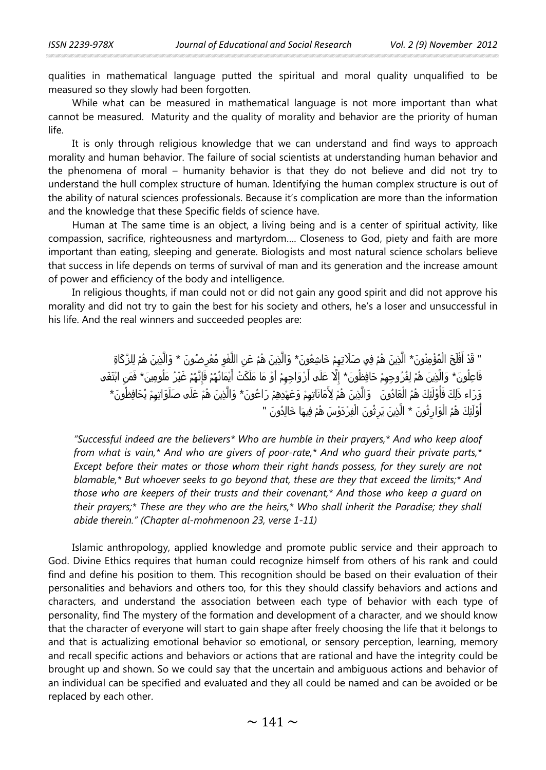qualities in mathematical language putted the spiritual and moral quality unqualified to be measured so they slowly had been forgotten.

While what can be measured in mathematical language is not more important than what cannot be measured. Maturity and the quality of morality and behavior are the priority of human life.

It is only through religious knowledge that we can understand and find ways to approach morality and human behavior. The failure of social scientists at understanding human behavior and the phenomena of moral – humanity behavior is that they do not believe and did not try to understand the hull complex structure of human. Identifying the human complex structure is out of the ability of natural sciences professionals. Because it's complication are more than the information and the knowledge that these Specific fields of science have.

Human at The same time is an object, a living being and is a center of spiritual activity, like compassion, sacrifice, righteousness and martyrdom…. Closeness to God, piety and faith are more important than eating, sleeping and generate. Biologists and most natural science scholars believe that success in life depends on terms of survival of man and its generation and the increase amount of power and efficiency of the body and intelligence.

In religious thoughts, if man could not or did not gain any good spirit and did not approve his morality and did not try to gain the best for his society and others, he's a loser and unsuccessful in his life. And the real winners and succeeded peoples are:

> " قَدْ أَفْلَحَ الْمُؤْمِنُونَ\* الَّذِينَ هُمْ فِي صَلَاتِهِمْ خَاشِعُونَ\* وَالَّذِينَ هُمْ عَنِ اللَّغْوِ مُعْرِضُونَ \* وَالَّذِينَ هُمْ لِلزَّكَاةِ ا أُمِّي أَمُّوا بِهِ مُسَارِدٍ مِنْ أَيْسَمْ بِهِ مُسَارِدٍ مِنْ أَيْسَمْ بِهِ مُسَارِدٍ مِنْ أَيْ :<br>ا :<br>ا فَاعِلُونَ\* وَالَّذِينَ هُمْ لِفُرُوجِهِمْ حَافِظُونَ\* إِلَّا عَلَى أَرْوَاجِهِمْ أَوْ مَا مَلَكَتْ أَيْمَانُهُمْ فَإِنَّهُمْ غَيْرُ مَلُومِينَ\* فَمَنِ ابْتَغَى :<br>ا ٔ<br>ا َا<br>ا ام<br>ا :<br>ا وَرَاء ذَلِكَ فَأُوْلَئِكَ هُمُ الْعَادُونَ وَالَّذِينَ هُمْ لِأَمَانَاتِهِمْ وَعَهْدِهِمْ رَاعُونَ\* وَالَّذِينَ هُمْ عَلَى صَلَوَاتِهِمْ يُحَافِظُونَ\* ا<br>ا ا<br>ا أُوْلَئِكَ هُمُ الْوَارِثُونَ \* الَّذِينَ يَرِثُونَ الْفِرْدَوْسَ هُمْ فِيهَا خَالِدُونَ " ا<br>ا المستقبل المستقبل المستقبل المستقبل المستقبل المستقبل المستقبل المستقبل المستقبل المستقبل المستقبل المستقبل ال<br>المستقبل المستقبل المستقبل المستقبل المستقبل المستقبل المستقبل المستقبل المستقبل المستقبل المستقبل المستقبل ال ٔ<br>ا ا<br>ا

*"Successful indeed are the believers\* Who are humble in their prayers,\* And who keep aloof from what is vain,\* And who are givers of poor-rate,\* And who guard their private parts,\* Except before their mates or those whom their right hands possess, for they surely are not blamable,\* But whoever seeks to go beyond that, these are they that exceed the limits;\* And those who are keepers of their trusts and their covenant,\* And those who keep a guard on their prayers;\* These are they who are the heirs,\* Who shall inherit the Paradise; they shall abide therein." (Chapter al-mohmenoon 23, verse 1-11)*

Islamic anthropology, applied knowledge and promote public service and their approach to God. Divine Ethics requires that human could recognize himself from others of his rank and could find and define his position to them. This recognition should be based on their evaluation of their personalities and behaviors and others too, for this they should classify behaviors and actions and characters, and understand the association between each type of behavior with each type of personality, find The mystery of the formation and development of a character, and we should know that the character of everyone will start to gain shape after freely choosing the life that it belongs to and that is actualizing emotional behavior so emotional, or sensory perception, learning, memory and recall specific actions and behaviors or actions that are rational and have the integrity could be brought up and shown. So we could say that the uncertain and ambiguous actions and behavior of an individual can be specified and evaluated and they all could be named and can be avoided or be replaced by each other.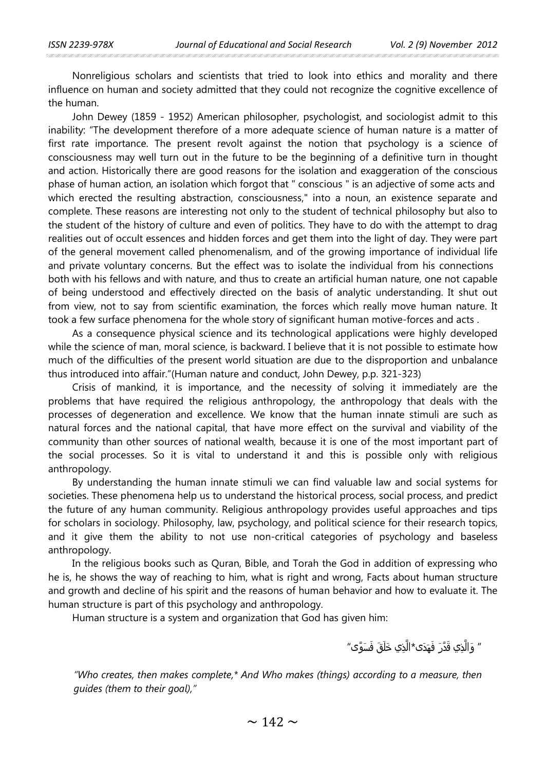Nonreligious scholars and scientists that tried to look into ethics and morality and there influence on human and society admitted that they could not recognize the cognitive excellence of the human.

John Dewey (1859 - 1952) American philosopher, psychologist, and sociologist admit to this inability: "The development therefore of a more adequate science of human nature is a matter of first rate importance. The present revolt against the notion that psychology is a science of consciousness may well turn out in the future to be the beginning of a definitive turn in thought and action. Historically there are good reasons for the isolation and exaggeration of the conscious phase of human action, an isolation which forgot that " conscious " is an adjective of some acts and which erected the resulting abstraction, consciousness," into a noun, an existence separate and complete. These reasons are interesting not only to the student of technical philosophy but also to the student of the history of culture and even of politics. They have to do with the attempt to drag realities out of occult essences and hidden forces and get them into the light of day. They were part of the general movement called phenomenalism, and of the growing importance of individual life and private voluntary concerns. But the effect was to isolate the individual from his connections both with his fellows and with nature, and thus to create an artificial human nature, one not capable of being understood and effectively directed on the basis of analytic understanding. It shut out from view, not to say from scientific examination, the forces which really move human nature. It took a few surface phenomena for the whole story of significant human motive-forces and acts .

As a consequence physical science and its technological applications were highly developed while the science of man, moral science, is backward. I believe that it is not possible to estimate how much of the difficulties of the present world situation are due to the disproportion and unbalance thus introduced into affair."(Human nature and conduct, John Dewey, p.p. 321-323)

Crisis of mankind, it is importance, and the necessity of solving it immediately are the problems that have required the religious anthropology, the anthropology that deals with the processes of degeneration and excellence. We know that the human innate stimuli are such as natural forces and the national capital, that have more effect on the survival and viability of the community than other sources of national wealth, because it is one of the most important part of the social processes. So it is vital to understand it and this is possible only with religious anthropology.

By understanding the human innate stimuli we can find valuable law and social systems for societies. These phenomena help us to understand the historical process, social process, and predict the future of any human community. Religious anthropology provides useful approaches and tips for scholars in sociology. Philosophy, law, psychology, and political science for their research topics, and it give them the ability to not use non-critical categories of psychology and baseless anthropology.

In the religious books such as Quran, Bible, and Torah the God in addition of expressing who he is, he shows the way of reaching to him, what is right and wrong, Facts about human structure and growth and decline of his spirit and the reasons of human behavior and how to evaluate it. The human structure is part of this psychology and anthropology.

Human structure is a system and organization that God has given him:

**ٔ** ″ وَالَّذِي قَدَّرَ فَهَذَى\*الَّذِي خَلَقَ فَسَوَّى″ <u>ً</u>

*"Who creates, then makes complete,\* And Who makes (things) according to a measure, then guides (them to their goal),"*

 $\sim$  142  $\sim$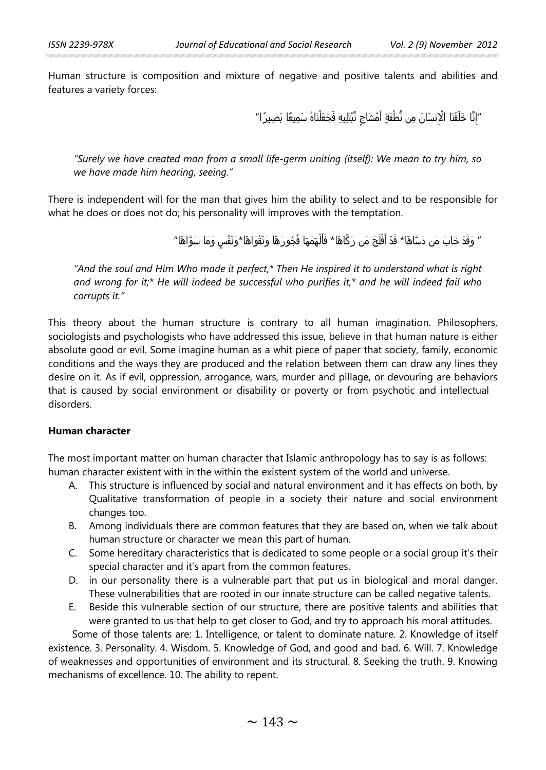Human structure is composition and mixture of negative and positive talents and abilities and features a variety forces:

> "إِنَّا خَلَقْنَا الْإِنسَانَ مِن نُّطْفَةٍ أَمْشَاجٍ نَّبْتَلِيهِ فَجَعَلْنَاهُ سَمِيعًا بَصِيرًا" **ٔ** َ;

*"Surely we have created man from a small life-germ uniting (itself): We mean to try him, so we have made him hearing, seeing."*

There is independent will for the man that gives him the ability to select and to be responsible for what he does or does not do; his personality will improves with the temptation.

> ″ وَقَدْ خَابَ مَن دَسَّاهَا\* قَدْ أَفْلَحَ مَن زَكَّاهَا\* فَأَلْهَمَهَا فُجُورَهَا وَتَقْوَاهَا\*وَنَفْسٍ وَمَا سَوَّاهَا″ ٔ ا ا<br>ا َ َ

*"And the soul and Him Who made it perfect,\* Then He inspired it to understand what is right and wrong for it;\* He will indeed be successful who purifies it,\* and he will indeed fail who corrupts it."*

This theory about the human structure is contrary to all human imagination. Philosophers, sociologists and psychologists who have addressed this issue, believe in that human nature is either absolute good or evil. Some imagine human as a whit piece of paper that society, family, economic conditions and the ways they are produced and the relation between them can draw any lines they desire on it. As if evil, oppression, arrogance, wars, murder and pillage, or devouring are behaviors that is caused by social environment or disability or poverty or from psychotic and intellectual disorders.

# **Human character**

The most important matter on human character that Islamic anthropology has to say is as follows: human character existent with in the within the existent system of the world and universe.

- A. This structure is influenced by social and natural environment and it has effects on both, by Qualitative transformation of people in a society their nature and social environment changes too.
- B. Among individuals there are common features that they are based on, when we talk about human structure or character we mean this part of human.
- C. Some hereditary characteristics that is dedicated to some people or a social group it's their special character and it's apart from the common features.
- D. in our personality there is a vulnerable part that put us in biological and moral danger. These vulnerabilities that are rooted in our innate structure can be called negative talents.
- E. Beside this vulnerable section of our structure, there are positive talents and abilities that were granted to us that help to get closer to God, and try to approach his moral attitudes.

Some of those talents are: 1. Intelligence, or talent to dominate nature. 2. Knowledge of itself existence. 3. Personality. 4. Wisdom. 5. Knowledge of God, and good and bad. 6. Will. 7. Knowledge of weaknesses and opportunities of environment and its structural. 8. Seeking the truth. 9. Knowing mechanisms of excellence. 10. The ability to repent.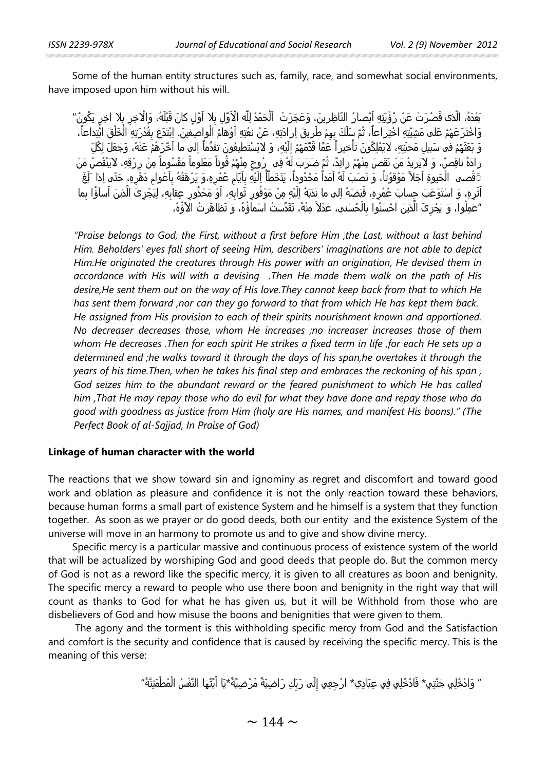Some of the human entity structures such as, family, race, and somewhat social environments, have imposed upon him without his will.

ْبَعْدَهُ، الَّذى قَصُرَتْ عَنْ رُؤْيَتِهِ اَبْصارُ النّاظِرِينَ، وَعَجَزَتْ ۚ اَلْحَمْدُ لِلَّه الْآوَّلِ بِلا اَقَلِ كانَ قَبْلَهُ، وَالْاخِرِ بِلا اخِرٍ يَكُونُ *"* ََْوَاخْتَرَعَهُمْ عَلى مَشِيَّتِهِ اخْتِراعاً، ثُمَّ سَلَكَ بِهِمْ طَرِيقَ اِرادَتِهِ، عَنْ نَعْتِهِ اَوْهامُ الْواصِفينَ. اِبْتَدَعَ بِقُدْرَتِهِ الْخَلْقَ ابْتِداعاً، ا<br>ا ًوَ بَعَثَهُمْ فى سَبيلِ مَحَبَّتِهِ، لايَمْلِكُونَ تَأْخيراً َعَمَّا قَدَّمَهُمْ اِلَيْهِ، وَ لايَسْتَطيعُونَ تَقَدُّماً اِلى ما اَخّرَهُمْ عَنْهُ، وَجَعَلَ لِكُلِّ َ:<br>ا ً زادَهُ ناقِصٌ، وَ لايَزيدُ مَنْ نَقَصَ مِنْهُمْ زائِدٌ، ثُمَّ ضَرَبَ لَهُ فِه ¸رُوحٍ مِنْهُمْ قُوتاً مَعْلوماً مَقْسُوماً مِنْ رِزْقِهِ، لايَنْقُصُ مَنْ ًَ قْصـم الْحَيوةِ اَجَلاً مَوْقوُتاً، وَ نَصَبَ لَهُ اَمَداً مَحْدُوداً، يَتَخَطْأُ إِلَيْهِ بِاَيّامِ عُمُرِهِ،وَ يَرْهَقُهُ بِاَعْوامِ دَهْرِهِ، حَتّى اِذا ־لَغَ ِا ِا َl<br>. ًَآثَرِهِ، وَ اسْتَوْعَبَ جِسابَ عُمُرِهِ، قَبَضَهُ اِلى ما نَدَبَهُ اِلَيْهِ مِنْ مَوْفُورِ ثَوابِهِ، اَوْ مَحْذُورِ عِقابِهِ، لِيَجْزِكَ الَّذينَ اَسآؤُا بِما ֺ<u>֓</u> ٔ نیست<br>سال ٔ<br>ا َْ"عَمِلُوا، وَ يَجْزِىَ الَّذِينَ آَحْسَنُوا بِالْحُسْنى، عَدْلاً مِنْهُ، تَقَدَّسَتْ آَسْمآؤُهُ، وَ تَظاهَرَتْ الآؤُهُ، ًَ

*"Praise belongs to God, the First, without a first before Him ,the Last, without a last behind Him. Beholders' eyes fall short of seeing Him, describers' imaginations are not able to depict Him.He originated the creatures through His power with an origination, He devised them in accordance with His will with a devising .Then He made them walk on the path of His desire,He sent them out on the way of His love.They cannot keep back from that to which He has sent them forward ,nor can they go forward to that from which He has kept them back. He assigned from His provision to each of their spirits nourishment known and apportioned. No decreaser decreases those, whom He increases ;no increaser increases those of them whom He decreases .Then for each spirit He strikes a fixed term in life ,for each He sets up a determined end ;he walks toward it through the days of his span,he overtakes it through the years of his time.Then, when he takes his final step and embraces the reckoning of his span , God seizes him to the abundant reward or the feared punishment to which He has called him ,That He may repay those who do evil for what they have done and repay those who do good with goodness as justice from Him (holy are His names, and manifest His boons)." (The Perfect Book of al-Sajjad, In Praise of God)*

## **Linkage of human character with the world**

The reactions that we show toward sin and ignominy as regret and discomfort and toward good work and oblation as pleasure and confidence it is not the only reaction toward these behaviors, because human forms a small part of existence System and he himself is a system that they function together. As soon as we prayer or do good deeds, both our entity and the existence System of the universe will move in an harmony to promote us and to give and show divine mercy.

Specific mercy is a particular massive and continuous process of existence system of the world that will be actualized by worshiping God and good deeds that people do. But the common mercy of God is not as a reword like the specific mercy, it is given to all creatures as boon and benignity. The specific mercy a reward to people who use there boon and benignity in the right way that will count as thanks to God for what he has given us, but it will be Withhold from those who are disbelievers of God and how misuse the boons and benignities that were given to them.

The agony and the torment is this withholding specific mercy from God and the Satisfaction and comfort is the security and confidence that is caused by receiving the specific mercy. This is the meaning of this verse:

> ″ وَادْخُلِي جَنَّتِي\* فَادْخُلِي فِي عِبَادِي\* ارْجِعِي إِلَى رَبِّكِ رَاضِيَةً مَّرْضِيَّةً\*يَا أَيَّتُهَا النَّفْسُ الْمُطْمَئِنَّةُ" َْ  $\overline{\mathsf{I}}$ <u>ً</u>